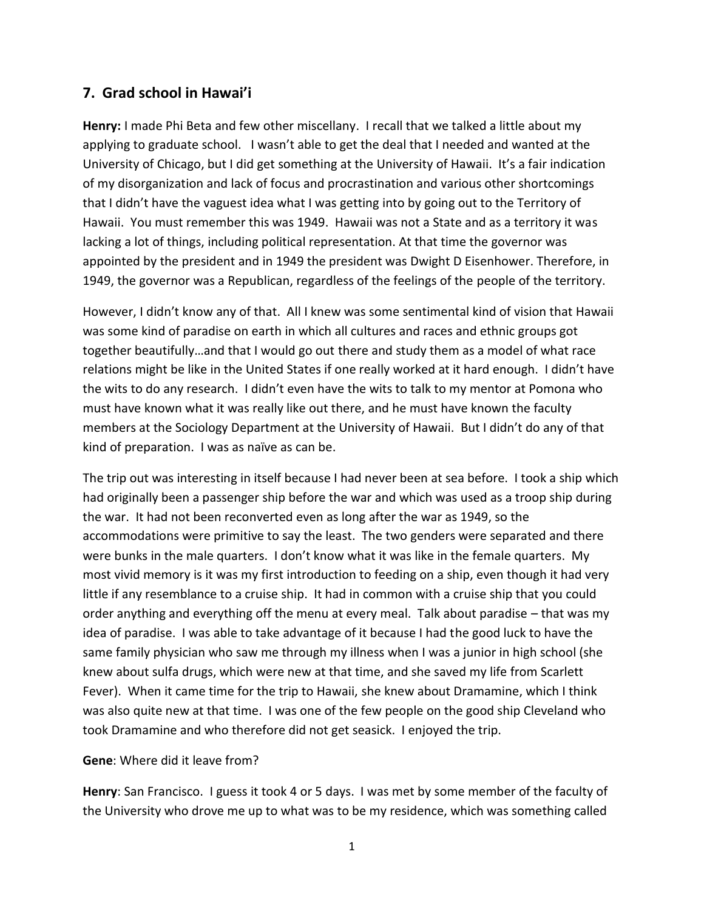## **7. Grad school in Hawai'i**

**Henry:** I made Phi Beta and few other miscellany. I recall that we talked a little about my applying to graduate school. I wasn't able to get the deal that I needed and wanted at the University of Chicago, but I did get something at the University of Hawaii. It's a fair indication of my disorganization and lack of focus and procrastination and various other shortcomings that I didn't have the vaguest idea what I was getting into by going out to the Territory of Hawaii. You must remember this was 1949. Hawaii was not a State and as a territory it was lacking a lot of things, including political representation. At that time the governor was appointed by the president and in 1949 the president was Dwight D Eisenhower. Therefore, in 1949, the governor was a Republican, regardless of the feelings of the people of the territory.

However, I didn't know any of that. All I knew was some sentimental kind of vision that Hawaii was some kind of paradise on earth in which all cultures and races and ethnic groups got together beautifully…and that I would go out there and study them as a model of what race relations might be like in the United States if one really worked at it hard enough. I didn't have the wits to do any research. I didn't even have the wits to talk to my mentor at Pomona who must have known what it was really like out there, and he must have known the faculty members at the Sociology Department at the University of Hawaii. But I didn't do any of that kind of preparation. I was as naïve as can be.

The trip out was interesting in itself because I had never been at sea before. I took a ship which had originally been a passenger ship before the war and which was used as a troop ship during the war. It had not been reconverted even as long after the war as 1949, so the accommodations were primitive to say the least. The two genders were separated and there were bunks in the male quarters. I don't know what it was like in the female quarters. My most vivid memory is it was my first introduction to feeding on a ship, even though it had very little if any resemblance to a cruise ship. It had in common with a cruise ship that you could order anything and everything off the menu at every meal. Talk about paradise – that was my idea of paradise. I was able to take advantage of it because I had the good luck to have the same family physician who saw me through my illness when I was a junior in high school (she knew about sulfa drugs, which were new at that time, and she saved my life from Scarlett Fever). When it came time for the trip to Hawaii, she knew about Dramamine, which I think was also quite new at that time. I was one of the few people on the good ship Cleveland who took Dramamine and who therefore did not get seasick. I enjoyed the trip.

## **Gene**: Where did it leave from?

**Henry**: San Francisco. I guess it took 4 or 5 days. I was met by some member of the faculty of the University who drove me up to what was to be my residence, which was something called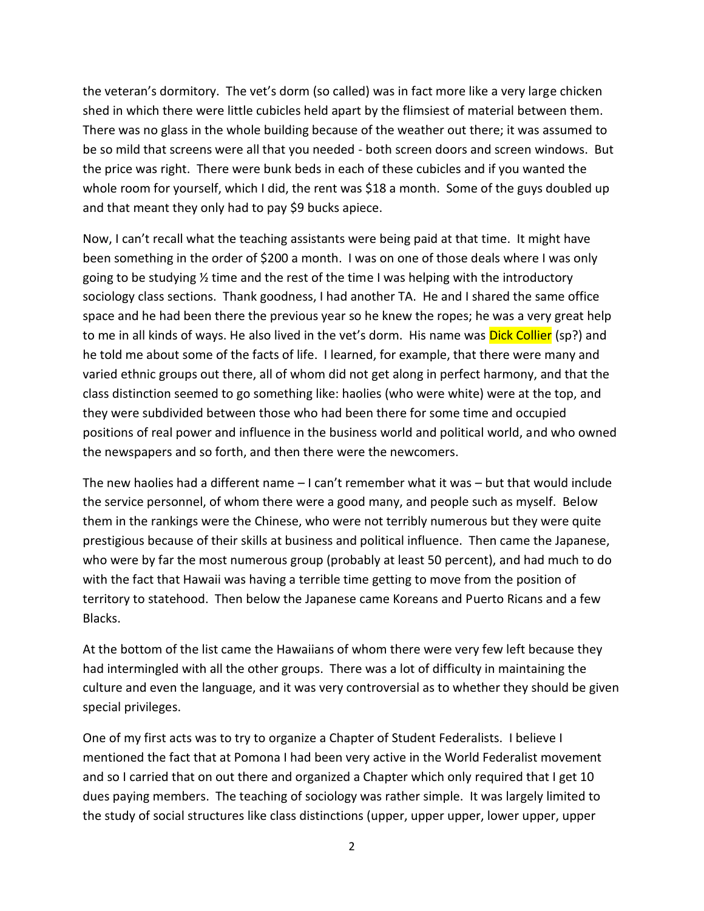the veteran's dormitory. The vet's dorm (so called) was in fact more like a very large chicken shed in which there were little cubicles held apart by the flimsiest of material between them. There was no glass in the whole building because of the weather out there; it was assumed to be so mild that screens were all that you needed - both screen doors and screen windows. But the price was right. There were bunk beds in each of these cubicles and if you wanted the whole room for yourself, which I did, the rent was \$18 a month. Some of the guys doubled up and that meant they only had to pay \$9 bucks apiece.

Now, I can't recall what the teaching assistants were being paid at that time. It might have been something in the order of \$200 a month. I was on one of those deals where I was only going to be studying ½ time and the rest of the time I was helping with the introductory sociology class sections. Thank goodness, I had another TA. He and I shared the same office space and he had been there the previous year so he knew the ropes; he was a very great help to me in all kinds of ways. He also lived in the vet's dorm. His name was **Dick Collier** (sp?) and he told me about some of the facts of life. I learned, for example, that there were many and varied ethnic groups out there, all of whom did not get along in perfect harmony, and that the class distinction seemed to go something like: haolies (who were white) were at the top, and they were subdivided between those who had been there for some time and occupied positions of real power and influence in the business world and political world, and who owned the newspapers and so forth, and then there were the newcomers.

The new haolies had a different name – I can't remember what it was – but that would include the service personnel, of whom there were a good many, and people such as myself. Below them in the rankings were the Chinese, who were not terribly numerous but they were quite prestigious because of their skills at business and political influence. Then came the Japanese, who were by far the most numerous group (probably at least 50 percent), and had much to do with the fact that Hawaii was having a terrible time getting to move from the position of territory to statehood. Then below the Japanese came Koreans and Puerto Ricans and a few Blacks.

At the bottom of the list came the Hawaiians of whom there were very few left because they had intermingled with all the other groups. There was a lot of difficulty in maintaining the culture and even the language, and it was very controversial as to whether they should be given special privileges.

One of my first acts was to try to organize a Chapter of Student Federalists. I believe I mentioned the fact that at Pomona I had been very active in the World Federalist movement and so I carried that on out there and organized a Chapter which only required that I get 10 dues paying members. The teaching of sociology was rather simple. It was largely limited to the study of social structures like class distinctions (upper, upper upper, lower upper, upper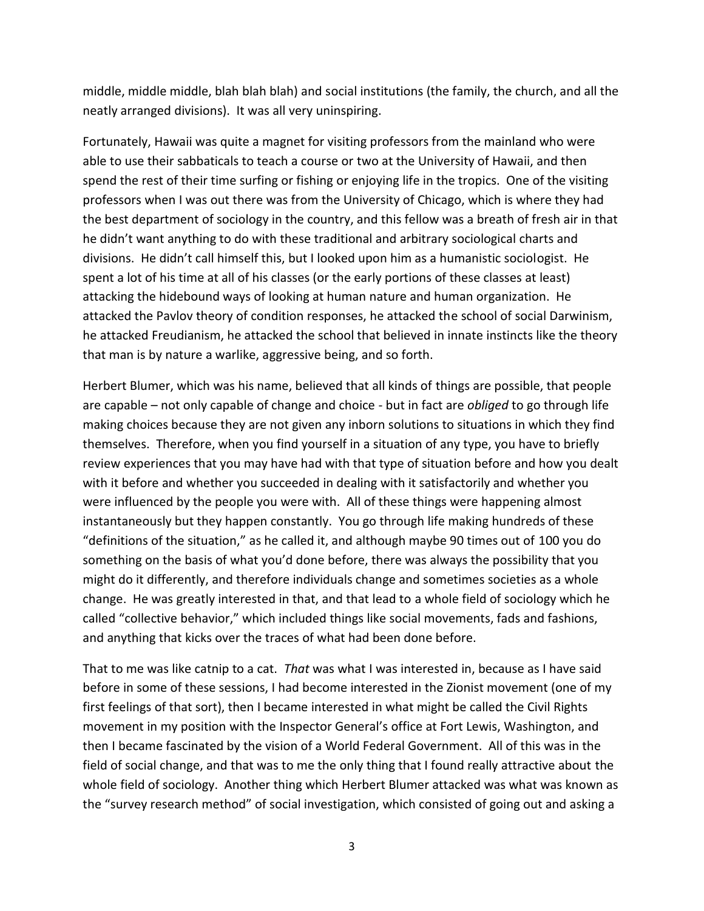middle, middle middle, blah blah blah) and social institutions (the family, the church, and all the neatly arranged divisions). It was all very uninspiring.

Fortunately, Hawaii was quite a magnet for visiting professors from the mainland who were able to use their sabbaticals to teach a course or two at the University of Hawaii, and then spend the rest of their time surfing or fishing or enjoying life in the tropics. One of the visiting professors when I was out there was from the University of Chicago, which is where they had the best department of sociology in the country, and this fellow was a breath of fresh air in that he didn't want anything to do with these traditional and arbitrary sociological charts and divisions. He didn't call himself this, but I looked upon him as a humanistic sociologist. He spent a lot of his time at all of his classes (or the early portions of these classes at least) attacking the hidebound ways of looking at human nature and human organization. He attacked the Pavlov theory of condition responses, he attacked the school of social Darwinism, he attacked Freudianism, he attacked the school that believed in innate instincts like the theory that man is by nature a warlike, aggressive being, and so forth.

Herbert Blumer, which was his name, believed that all kinds of things are possible, that people are capable – not only capable of change and choice - but in fact are *obliged* to go through life making choices because they are not given any inborn solutions to situations in which they find themselves. Therefore, when you find yourself in a situation of any type, you have to briefly review experiences that you may have had with that type of situation before and how you dealt with it before and whether you succeeded in dealing with it satisfactorily and whether you were influenced by the people you were with. All of these things were happening almost instantaneously but they happen constantly. You go through life making hundreds of these "definitions of the situation," as he called it, and although maybe 90 times out of 100 you do something on the basis of what you'd done before, there was always the possibility that you might do it differently, and therefore individuals change and sometimes societies as a whole change. He was greatly interested in that, and that lead to a whole field of sociology which he called "collective behavior," which included things like social movements, fads and fashions, and anything that kicks over the traces of what had been done before.

That to me was like catnip to a cat. *That* was what I was interested in, because as I have said before in some of these sessions, I had become interested in the Zionist movement (one of my first feelings of that sort), then I became interested in what might be called the Civil Rights movement in my position with the Inspector General's office at Fort Lewis, Washington, and then I became fascinated by the vision of a World Federal Government. All of this was in the field of social change, and that was to me the only thing that I found really attractive about the whole field of sociology. Another thing which Herbert Blumer attacked was what was known as the "survey research method" of social investigation, which consisted of going out and asking a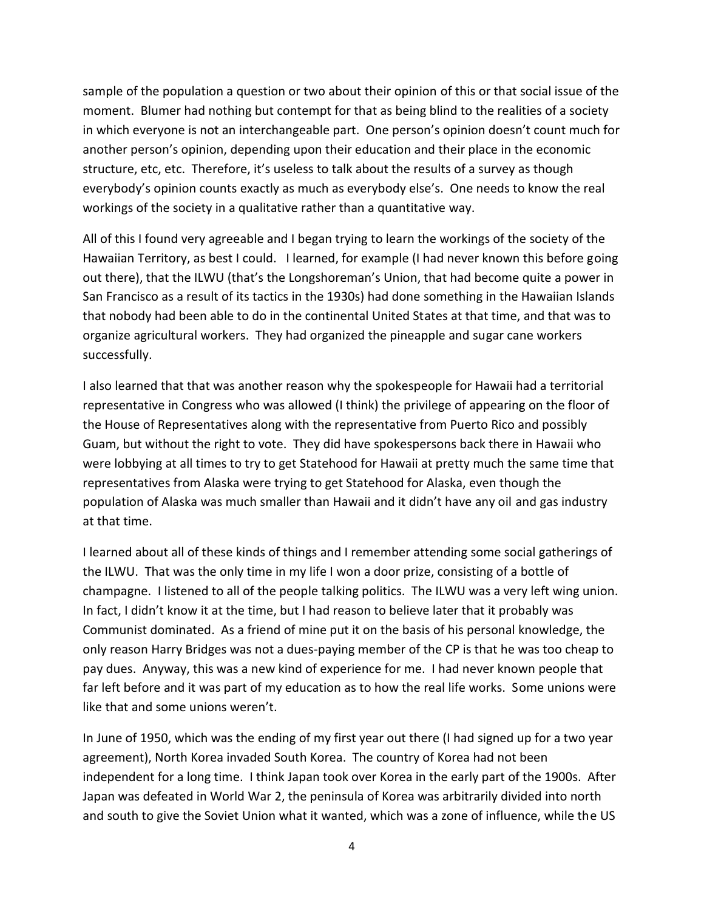sample of the population a question or two about their opinion of this or that social issue of the moment. Blumer had nothing but contempt for that as being blind to the realities of a society in which everyone is not an interchangeable part. One person's opinion doesn't count much for another person's opinion, depending upon their education and their place in the economic structure, etc, etc. Therefore, it's useless to talk about the results of a survey as though everybody's opinion counts exactly as much as everybody else's. One needs to know the real workings of the society in a qualitative rather than a quantitative way.

All of this I found very agreeable and I began trying to learn the workings of the society of the Hawaiian Territory, as best I could. I learned, for example (I had never known this before going out there), that the ILWU (that's the Longshoreman's Union, that had become quite a power in San Francisco as a result of its tactics in the 1930s) had done something in the Hawaiian Islands that nobody had been able to do in the continental United States at that time, and that was to organize agricultural workers. They had organized the pineapple and sugar cane workers successfully.

I also learned that that was another reason why the spokespeople for Hawaii had a territorial representative in Congress who was allowed (I think) the privilege of appearing on the floor of the House of Representatives along with the representative from Puerto Rico and possibly Guam, but without the right to vote. They did have spokespersons back there in Hawaii who were lobbying at all times to try to get Statehood for Hawaii at pretty much the same time that representatives from Alaska were trying to get Statehood for Alaska, even though the population of Alaska was much smaller than Hawaii and it didn't have any oil and gas industry at that time.

I learned about all of these kinds of things and I remember attending some social gatherings of the ILWU. That was the only time in my life I won a door prize, consisting of a bottle of champagne. I listened to all of the people talking politics. The ILWU was a very left wing union. In fact, I didn't know it at the time, but I had reason to believe later that it probably was Communist dominated. As a friend of mine put it on the basis of his personal knowledge, the only reason Harry Bridges was not a dues-paying member of the CP is that he was too cheap to pay dues. Anyway, this was a new kind of experience for me. I had never known people that far left before and it was part of my education as to how the real life works. Some unions were like that and some unions weren't.

In June of 1950, which was the ending of my first year out there (I had signed up for a two year agreement), North Korea invaded South Korea. The country of Korea had not been independent for a long time. I think Japan took over Korea in the early part of the 1900s. After Japan was defeated in World War 2, the peninsula of Korea was arbitrarily divided into north and south to give the Soviet Union what it wanted, which was a zone of influence, while the US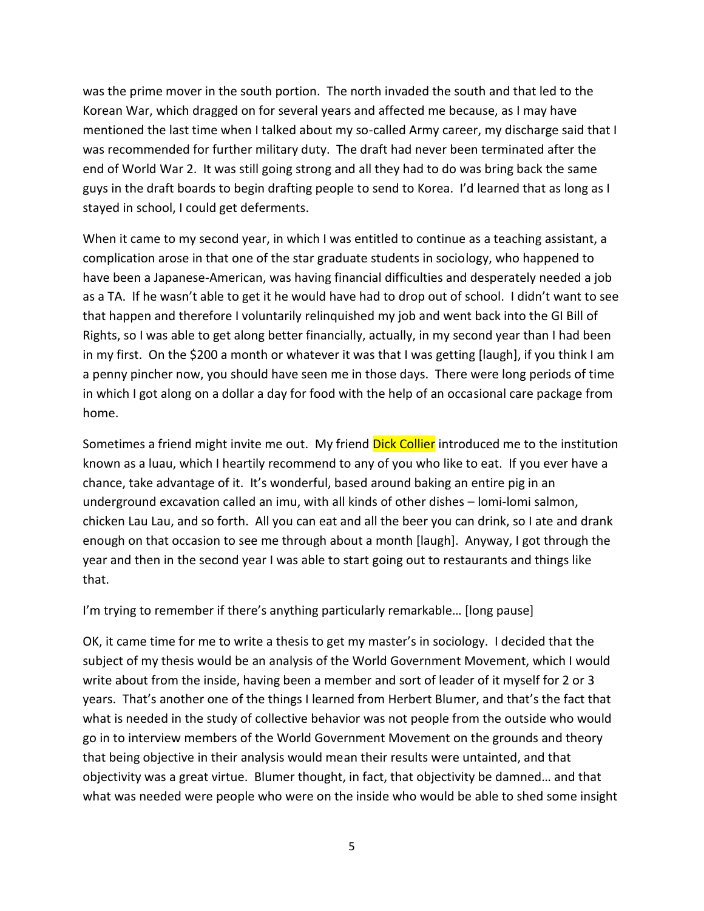was the prime mover in the south portion. The north invaded the south and that led to the Korean War, which dragged on for several years and affected me because, as I may have mentioned the last time when I talked about my so-called Army career, my discharge said that I was recommended for further military duty. The draft had never been terminated after the end of World War 2. It was still going strong and all they had to do was bring back the same guys in the draft boards to begin drafting people to send to Korea. I'd learned that as long as I stayed in school, I could get deferments.

When it came to my second year, in which I was entitled to continue as a teaching assistant, a complication arose in that one of the star graduate students in sociology, who happened to have been a Japanese-American, was having financial difficulties and desperately needed a job as a TA. If he wasn't able to get it he would have had to drop out of school. I didn't want to see that happen and therefore I voluntarily relinquished my job and went back into the GI Bill of Rights, so I was able to get along better financially, actually, in my second year than I had been in my first. On the \$200 a month or whatever it was that I was getting [laugh], if you think I am a penny pincher now, you should have seen me in those days. There were long periods of time in which I got along on a dollar a day for food with the help of an occasional care package from home.

Sometimes a friend might invite me out. My friend Dick Collier introduced me to the institution known as a luau, which I heartily recommend to any of you who like to eat. If you ever have a chance, take advantage of it. It's wonderful, based around baking an entire pig in an underground excavation called an imu, with all kinds of other dishes – lomi-lomi salmon, chicken Lau Lau, and so forth. All you can eat and all the beer you can drink, so I ate and drank enough on that occasion to see me through about a month [laugh]. Anyway, I got through the year and then in the second year I was able to start going out to restaurants and things like that.

I'm trying to remember if there's anything particularly remarkable… [long pause]

OK, it came time for me to write a thesis to get my master's in sociology. I decided that the subject of my thesis would be an analysis of the World Government Movement, which I would write about from the inside, having been a member and sort of leader of it myself for 2 or 3 years. That's another one of the things I learned from Herbert Blumer, and that's the fact that what is needed in the study of collective behavior was not people from the outside who would go in to interview members of the World Government Movement on the grounds and theory that being objective in their analysis would mean their results were untainted, and that objectivity was a great virtue. Blumer thought, in fact, that objectivity be damned… and that what was needed were people who were on the inside who would be able to shed some insight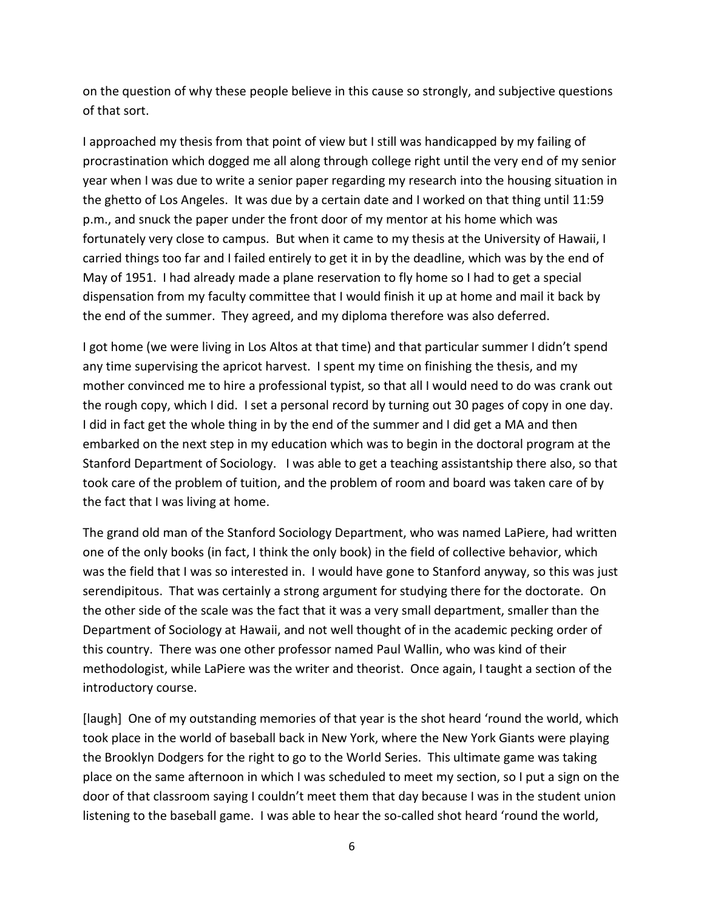on the question of why these people believe in this cause so strongly, and subjective questions of that sort.

I approached my thesis from that point of view but I still was handicapped by my failing of procrastination which dogged me all along through college right until the very end of my senior year when I was due to write a senior paper regarding my research into the housing situation in the ghetto of Los Angeles. It was due by a certain date and I worked on that thing until 11:59 p.m., and snuck the paper under the front door of my mentor at his home which was fortunately very close to campus. But when it came to my thesis at the University of Hawaii, I carried things too far and I failed entirely to get it in by the deadline, which was by the end of May of 1951. I had already made a plane reservation to fly home so I had to get a special dispensation from my faculty committee that I would finish it up at home and mail it back by the end of the summer. They agreed, and my diploma therefore was also deferred.

I got home (we were living in Los Altos at that time) and that particular summer I didn't spend any time supervising the apricot harvest. I spent my time on finishing the thesis, and my mother convinced me to hire a professional typist, so that all I would need to do was crank out the rough copy, which I did. I set a personal record by turning out 30 pages of copy in one day. I did in fact get the whole thing in by the end of the summer and I did get a MA and then embarked on the next step in my education which was to begin in the doctoral program at the Stanford Department of Sociology. I was able to get a teaching assistantship there also, so that took care of the problem of tuition, and the problem of room and board was taken care of by the fact that I was living at home.

The grand old man of the Stanford Sociology Department, who was named LaPiere, had written one of the only books (in fact, I think the only book) in the field of collective behavior, which was the field that I was so interested in. I would have gone to Stanford anyway, so this was just serendipitous. That was certainly a strong argument for studying there for the doctorate. On the other side of the scale was the fact that it was a very small department, smaller than the Department of Sociology at Hawaii, and not well thought of in the academic pecking order of this country. There was one other professor named Paul Wallin, who was kind of their methodologist, while LaPiere was the writer and theorist. Once again, I taught a section of the introductory course.

[laugh] One of my outstanding memories of that year is the shot heard 'round the world, which took place in the world of baseball back in New York, where the New York Giants were playing the Brooklyn Dodgers for the right to go to the World Series. This ultimate game was taking place on the same afternoon in which I was scheduled to meet my section, so I put a sign on the door of that classroom saying I couldn't meet them that day because I was in the student union listening to the baseball game. I was able to hear the so-called shot heard 'round the world,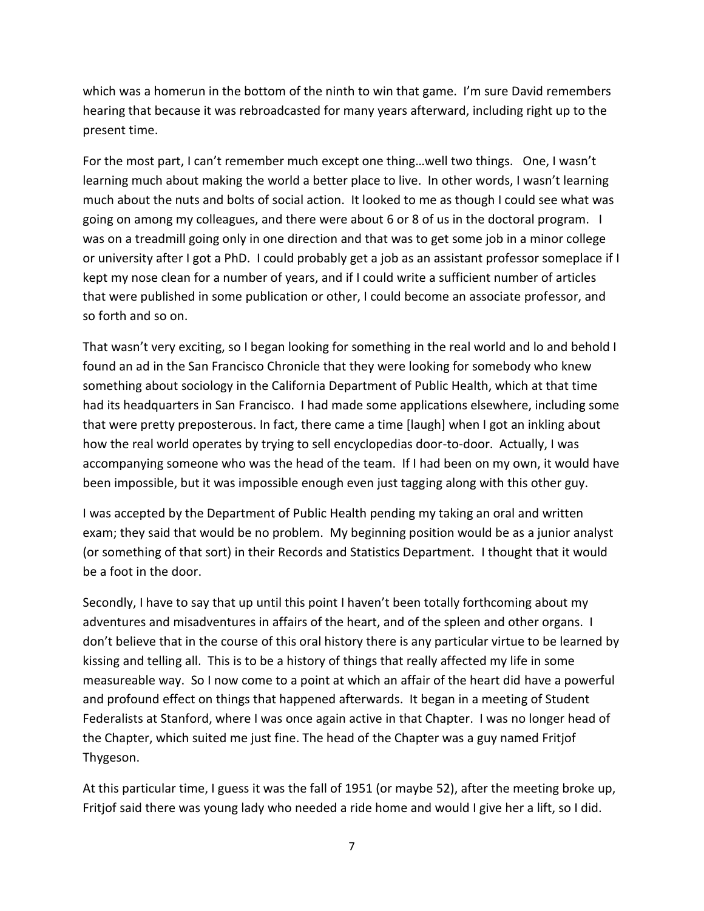which was a homerun in the bottom of the ninth to win that game. I'm sure David remembers hearing that because it was rebroadcasted for many years afterward, including right up to the present time.

For the most part, I can't remember much except one thing…well two things. One, I wasn't learning much about making the world a better place to live. In other words, I wasn't learning much about the nuts and bolts of social action. It looked to me as though I could see what was going on among my colleagues, and there were about 6 or 8 of us in the doctoral program. I was on a treadmill going only in one direction and that was to get some job in a minor college or university after I got a PhD. I could probably get a job as an assistant professor someplace if I kept my nose clean for a number of years, and if I could write a sufficient number of articles that were published in some publication or other, I could become an associate professor, and so forth and so on.

That wasn't very exciting, so I began looking for something in the real world and lo and behold I found an ad in the San Francisco Chronicle that they were looking for somebody who knew something about sociology in the California Department of Public Health, which at that time had its headquarters in San Francisco. I had made some applications elsewhere, including some that were pretty preposterous. In fact, there came a time [laugh] when I got an inkling about how the real world operates by trying to sell encyclopedias door-to-door. Actually, I was accompanying someone who was the head of the team. If I had been on my own, it would have been impossible, but it was impossible enough even just tagging along with this other guy.

I was accepted by the Department of Public Health pending my taking an oral and written exam; they said that would be no problem. My beginning position would be as a junior analyst (or something of that sort) in their Records and Statistics Department. I thought that it would be a foot in the door.

Secondly, I have to say that up until this point I haven't been totally forthcoming about my adventures and misadventures in affairs of the heart, and of the spleen and other organs. I don't believe that in the course of this oral history there is any particular virtue to be learned by kissing and telling all. This is to be a history of things that really affected my life in some measureable way. So I now come to a point at which an affair of the heart did have a powerful and profound effect on things that happened afterwards. It began in a meeting of Student Federalists at Stanford, where I was once again active in that Chapter. I was no longer head of the Chapter, which suited me just fine. The head of the Chapter was a guy named Fritjof Thygeson.

At this particular time, I guess it was the fall of 1951 (or maybe 52), after the meeting broke up, Fritjof said there was young lady who needed a ride home and would I give her a lift, so I did.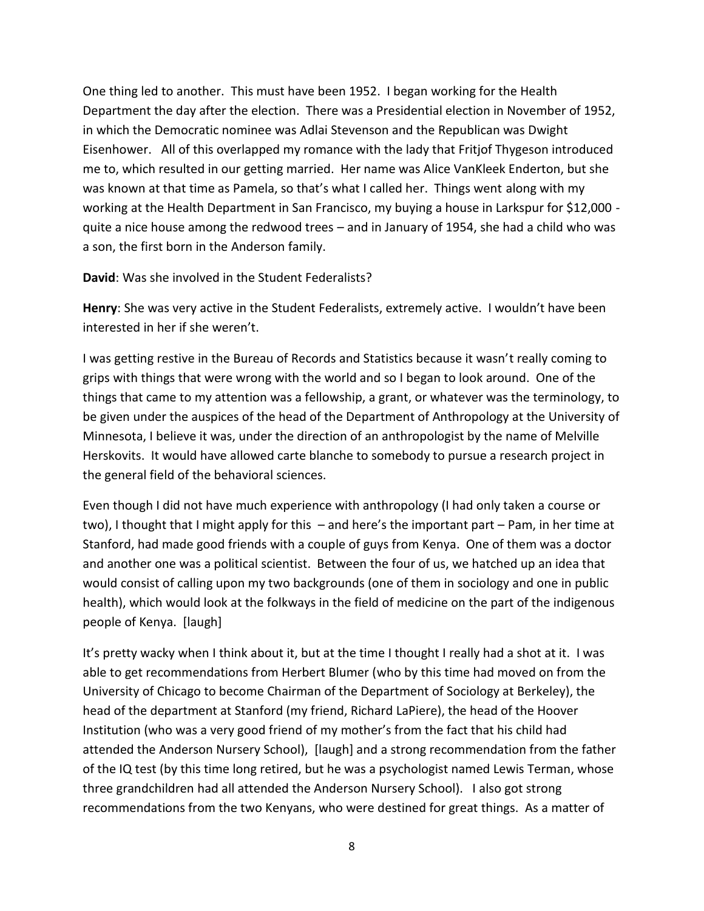One thing led to another. This must have been 1952. I began working for the Health Department the day after the election. There was a Presidential election in November of 1952, in which the Democratic nominee was Adlai Stevenson and the Republican was Dwight Eisenhower. All of this overlapped my romance with the lady that Fritjof Thygeson introduced me to, which resulted in our getting married. Her name was Alice VanKleek Enderton, but she was known at that time as Pamela, so that's what I called her. Things went along with my working at the Health Department in San Francisco, my buying a house in Larkspur for \$12,000 quite a nice house among the redwood trees – and in January of 1954, she had a child who was a son, the first born in the Anderson family.

## **David**: Was she involved in the Student Federalists?

**Henry**: She was very active in the Student Federalists, extremely active. I wouldn't have been interested in her if she weren't.

I was getting restive in the Bureau of Records and Statistics because it wasn't really coming to grips with things that were wrong with the world and so I began to look around. One of the things that came to my attention was a fellowship, a grant, or whatever was the terminology, to be given under the auspices of the head of the Department of Anthropology at the University of Minnesota, I believe it was, under the direction of an anthropologist by the name of Melville Herskovits. It would have allowed carte blanche to somebody to pursue a research project in the general field of the behavioral sciences.

Even though I did not have much experience with anthropology (I had only taken a course or two), I thought that I might apply for this – and here's the important part – Pam, in her time at Stanford, had made good friends with a couple of guys from Kenya. One of them was a doctor and another one was a political scientist. Between the four of us, we hatched up an idea that would consist of calling upon my two backgrounds (one of them in sociology and one in public health), which would look at the folkways in the field of medicine on the part of the indigenous people of Kenya. [laugh]

It's pretty wacky when I think about it, but at the time I thought I really had a shot at it. I was able to get recommendations from Herbert Blumer (who by this time had moved on from the University of Chicago to become Chairman of the Department of Sociology at Berkeley), the head of the department at Stanford (my friend, Richard LaPiere), the head of the Hoover Institution (who was a very good friend of my mother's from the fact that his child had attended the Anderson Nursery School), [laugh] and a strong recommendation from the father of the IQ test (by this time long retired, but he was a psychologist named Lewis Terman, whose three grandchildren had all attended the Anderson Nursery School). I also got strong recommendations from the two Kenyans, who were destined for great things. As a matter of